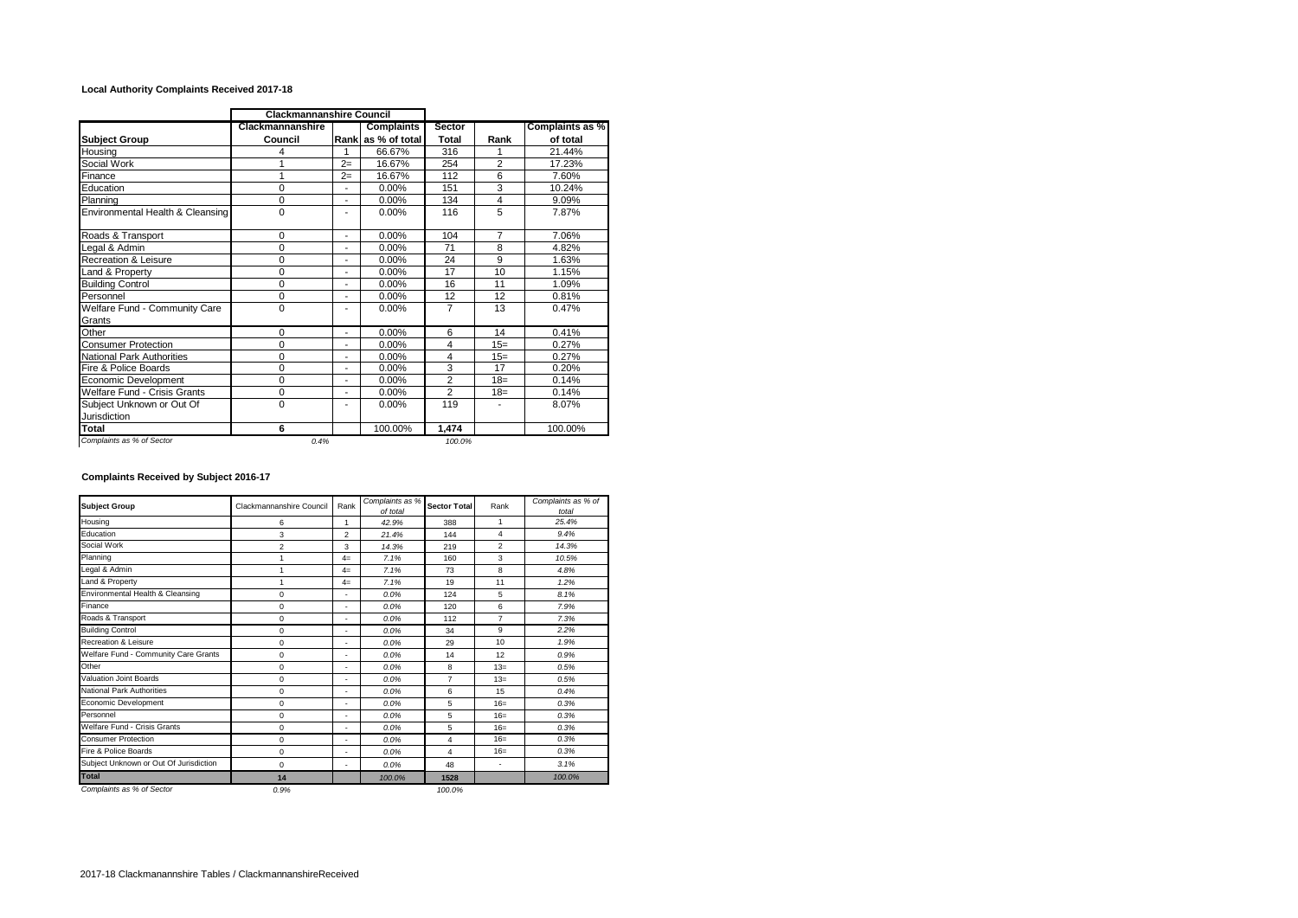## **Local Authority Complaints Received 2017-18**

|                                         | <b>Clackmannanshire Council</b> |                          |                    |                |                |                 |
|-----------------------------------------|---------------------------------|--------------------------|--------------------|----------------|----------------|-----------------|
|                                         | Clackmannanshire                |                          | <b>Complaints</b>  | Sector         |                | Complaints as % |
| <b>Subject Group</b>                    | Council                         |                          | Rank as % of total | Total          | Rank           | of total        |
| Housing                                 | 4                               | 1                        | 66.67%             | 316            | 1              | 21.44%          |
| Social Work                             |                                 | $2=$                     | 16.67%             | 254            | $\overline{2}$ | 17.23%          |
| Finance                                 | 1                               | $2=$                     | 16.67%             | 112            | 6              | 7.60%           |
| Education                               | $\Omega$                        | $\blacksquare$           | 0.00%              | 151            | 3              | 10.24%          |
| Planning                                | $\mathbf 0$                     | $\overline{\phantom{a}}$ | 0.00%              | 134            | $\overline{4}$ | 9.09%           |
| Environmental Health & Cleansing        | $\Omega$                        | ٠                        | 0.00%              | 116            | 5              | 7.87%           |
| Roads & Transport                       | 0                               | $\overline{\phantom{a}}$ | 0.00%              | 104            | $\overline{7}$ | 7.06%           |
| Legal & Admin                           | $\Omega$                        | $\blacksquare$           | 0.00%              | 71             | 8              | 4.82%           |
| <b>Recreation &amp; Leisure</b>         | $\mathbf 0$                     | ٠                        | 0.00%              | 24             | 9              | 1.63%           |
| Land & Property                         | $\mathbf 0$                     | ۰                        | 0.00%              | 17             | 10             | 1.15%           |
| <b>Building Control</b>                 | $\Omega$                        | $\overline{a}$           | 0.00%              | 16             | 11             | 1.09%           |
| Personnel                               | $\mathbf 0$                     | $\overline{a}$           | 0.00%              | 12             | 12             | 0.81%           |
| Welfare Fund - Community Care<br>Grants | $\Omega$                        | ٠                        | 0.00%              | $\overline{7}$ | 13             | 0.47%           |
| Other                                   | 0                               | $\overline{\phantom{a}}$ | 0.00%              | 6              | 14             | 0.41%           |
| <b>Consumer Protection</b>              | $\Omega$                        | $\blacksquare$           | 0.00%              | $\overline{4}$ | $15=$          | 0.27%           |
| National Park Authorities               | $\mathbf 0$                     | ٠                        | 0.00%              | $\overline{4}$ | $15=$          | 0.27%           |
| Fire & Police Boards                    | $\Omega$                        | ۰                        | 0.00%              | 3              | 17             | 0.20%           |
| Economic Development                    | $\Omega$                        | $\overline{\phantom{a}}$ | 0.00%              | $\overline{2}$ | $18=$          | 0.14%           |
| Welfare Fund - Crisis Grants            | $\mathbf 0$                     | ٠                        | 0.00%              | $\overline{2}$ | $18=$          | 0.14%           |
| Subject Unknown or Out Of               | $\Omega$                        | $\overline{a}$           | $0.00\%$           | 119            | $\overline{a}$ | 8.07%           |
| Jurisdiction                            |                                 |                          |                    |                |                |                 |
| Total                                   | 6                               |                          | 100.00%            | 1,474          |                | 100.00%         |
| Complaints as % of Sector               | 0.4%                            |                          |                    | 100.0%         |                |                 |

## **Complaints Received by Subject 2016-17**

| <b>Subiect Group</b>                   | Clackmannanshire Council | Rank                     | Complaints as %<br><b>Sector Total</b><br>Rank<br>of total |                         | Complaints as % of<br>total |        |
|----------------------------------------|--------------------------|--------------------------|------------------------------------------------------------|-------------------------|-----------------------------|--------|
| Housina                                | 6                        | 1                        | 42.9%                                                      | 388                     | 1                           | 25.4%  |
| Education                              | 3                        | $\overline{2}$           | 21.4%                                                      | 144                     | $\overline{4}$              | 9.4%   |
| Social Work                            | $\overline{c}$           | 3                        | 14.3%                                                      | 219                     | $\overline{a}$              | 14.3%  |
| Planning                               | 1                        | $4=$                     | 7.1%                                                       | 160                     | 3                           | 10.5%  |
| Legal & Admin                          | 1                        | $4=$                     | 7.1%                                                       | 73                      | 8                           | 4.8%   |
| Land & Property                        | $\mathbf{1}$             | $4=$                     | 7.1%                                                       | 19                      | 11                          | 1.2%   |
| Environmental Health & Cleansing       | $\Omega$                 | ٠                        | 0.0%                                                       | 124                     | 5                           | 8.1%   |
| Finance                                | 0                        | ٠                        | 0.0%                                                       | 120                     | 6                           | 7.9%   |
| Roads & Transport                      | $\Omega$                 | $\overline{\phantom{a}}$ | 0.0%                                                       | 112                     | $\overline{7}$              | 7.3%   |
| <b>Building Control</b>                | $\Omega$                 | ٠                        | 0.0%                                                       | 34                      | 9                           | 2.2%   |
| <b>Recreation &amp; Leisure</b>        | $\Omega$                 | $\overline{\phantom{a}}$ | 0.0%                                                       | 29                      | 10                          | 1.9%   |
| Welfare Fund - Community Care Grants   | $\mathbf 0$              | ٠                        | 0.0%                                                       | 14                      | 12                          | 0.9%   |
| Other                                  | $\mathbf 0$              | $\overline{\phantom{a}}$ | 0.0%                                                       | 8                       | $13=$                       | 0.5%   |
| <b>Valuation Joint Boards</b>          | $\mathbf 0$              | ٠                        | 0.0%                                                       | $\overline{7}$          | $13=$                       | 0.5%   |
| <b>National Park Authorities</b>       | $\Omega$                 | $\overline{a}$           | 0.0%                                                       | 6                       | 15                          | 0.4%   |
| Economic Development                   | $\mathbf 0$              | ٠                        | 0.0%                                                       | 5                       | $16=$                       | 0.3%   |
| Personnel                              | $\Omega$                 | $\overline{\phantom{a}}$ | 0.0%                                                       | 5                       | $16=$                       | 0.3%   |
| Welfare Fund - Crisis Grants           | $\Omega$                 | $\overline{a}$           | 0.0%                                                       | 5                       | $16=$                       | 0.3%   |
| <b>Consumer Protection</b>             | $\mathbf 0$              | $\overline{a}$           | 0.0%                                                       | $\overline{4}$          | $16=$                       | 0.3%   |
| Fire & Police Boards                   | $\mathbf 0$              | $\overline{a}$           | 0.0%                                                       | $\overline{\mathbf{4}}$ | $16=$                       | 0.3%   |
| Subject Unknown or Out Of Jurisdiction | $\mathbf 0$              | ٠                        | 0.0%                                                       | 48                      | $\blacksquare$              | 3.1%   |
| <b>Total</b>                           | 14                       |                          | 100.0%                                                     | 1528                    |                             | 100.0% |
| Complaints as % of Sector              | 0.9%                     |                          |                                                            | 100.0%                  |                             |        |